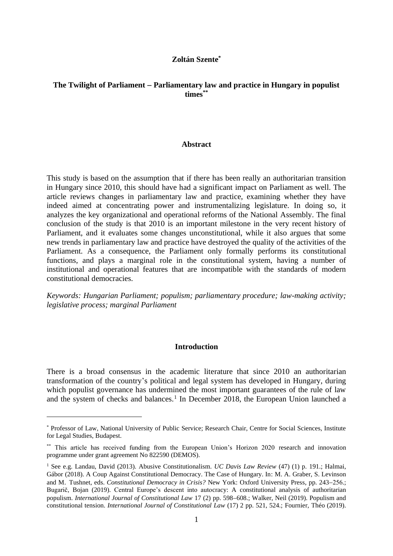## **Zoltán Szente\***

#### **The Twilight of Parliament** − **Parliamentary law and practice in Hungary in populist times\*\***

#### **Abstract**

This study is based on the assumption that if there has been really an authoritarian transition in Hungary since 2010, this should have had a significant impact on Parliament as well. The article reviews changes in parliamentary law and practice, examining whether they have indeed aimed at concentrating power and instrumentalizing legislature. In doing so, it analyzes the key organizational and operational reforms of the National Assembly. The final conclusion of the study is that 2010 is an important milestone in the very recent history of Parliament, and it evaluates some changes unconstitutional, while it also argues that some new trends in parliamentary law and practice have destroyed the quality of the activities of the Parliament. As a consequence, the Parliament only formally performs its constitutional functions, and plays a marginal role in the constitutional system, having a number of institutional and operational features that are incompatible with the standards of modern constitutional democracies.

*Keywords: Hungarian Parliament; populism; parliamentary procedure; law-making activity; legislative process; marginal Parliament*

#### **Introduction**

There is a broad consensus in the academic literature that since 2010 an authoritarian transformation of the country's political and legal system has developed in Hungary, during which populist governance has undermined the most important guarantees of the rule of law and the system of checks and balances.<sup>1</sup> In December 2018, the European Union launched a

<sup>\*</sup> Professor of Law, National University of Public Service; Research Chair, Centre for Social Sciences, Institute for Legal Studies, Budapest.

<sup>\*\*</sup> This article has received funding from the European Union's Horizon 2020 research and innovation programme under grant agreement No 822590 (DEMOS).

<sup>1</sup> See e.g. Landau, David (2013). Abusive Constitutionalism. *UC Davis Law Review* (47) (1) p. 191.; Halmai, Gábor (2018). A Coup Against Constitutional Democracy. The Case of Hungary. In: M. A. Graber, S. Levinson and M. Tushnet, eds. *Constitutional Democracy in Crisis?* New York: Oxford University Press, pp. 243–256.; Bugarič, Bojan (2019). Central Europe's descent into autocracy: A constitutional analysis of authoritarian populism. *International Journal of Constitutional Law* 17 (2) pp. 598−608.; Walker, Neil (2019). Populism and constitutional tension. *International Journal of Constitutional Law* (17) 2 pp. 521, 524.; Fournier, Théo (2019).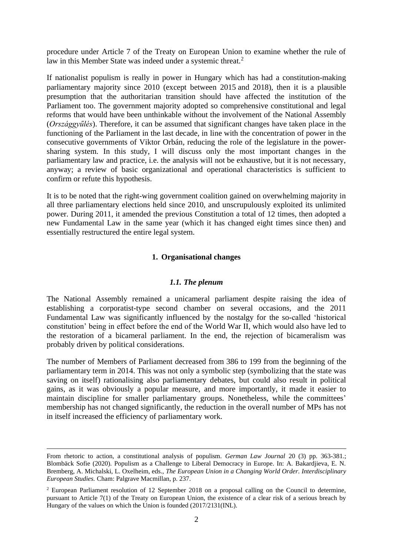procedure under Article 7 of the Treaty on European Union to examine whether the rule of law in this Member State was indeed under a systemic threat.<sup>2</sup>

If nationalist populism is really in power in Hungary which has had a constitution-making parliamentary majority since 2010 (except between 2015 and 2018), then it is a plausible presumption that the authoritarian transition should have affected the institution of the Parliament too. The government majority adopted so comprehensive constitutional and legal reforms that would have been unthinkable without the involvement of the National Assembly (*Országgyűlés*). Therefore, it can be assumed that significant changes have taken place in the functioning of the Parliament in the last decade, in line with the concentration of power in the consecutive governments of Viktor Orbán, reducing the role of the legislature in the powersharing system. In this study, I will discuss only the most important changes in the parliamentary law and practice, i.e. the analysis will not be exhaustive, but it is not necessary, anyway; a review of basic organizational and operational characteristics is sufficient to confirm or refute this hypothesis.

It is to be noted that the right-wing government coalition gained on overwhelming majority in all three parliamentary elections held since 2010, and unscrupulously exploited its unlimited power. During 2011, it amended the previous Constitution a total of 12 times, then adopted a new Fundamental Law in the same year (which it has changed eight times since then) and essentially restructured the entire legal system.

## **1. Organisational changes**

#### *1.1. The plenum*

The National Assembly remained a unicameral parliament despite raising the idea of establishing a corporatist-type second chamber on several occasions, and the 2011 Fundamental Law was significantly influenced by the nostalgy for the so-called ʻhistorical constitution' being in effect before the end of the World War II, which would also have led to the restoration of a bicameral parliament. In the end, the rejection of bicameralism was probably driven by political considerations.

The number of Members of Parliament decreased from 386 to 199 from the beginning of the parliamentary term in 2014. This was not only a symbolic step (symbolizing that the state was saving on itself) rationalising also parliamentary debates, but could also result in political gains, as it was obviously a popular measure, and more importantly, it made it easier to maintain discipline for smaller parliamentary groups. Nonetheless, while the committees' membership has not changed significantly, the reduction in the overall number of MPs has not in itself increased the efficiency of parliamentary work.

From rhetoric to action, a constitutional analysis of populism. *German Law Journal* 20 (3) pp. 363-381.; Blombäck Sofie (2020). Populism as a Challenge to Liberal Democracy in Europe. In: A. Bakardjieva, E. N. Bremberg, A. Michalski, L. Oxelheim, eds., *The European Union in a Changing World Order. Interdisciplinary European Studies.* Cham: Palgrave Macmillan, p. 237.

<sup>&</sup>lt;sup>2</sup> European Parliament resolution of 12 September 2018 on a proposal calling on the Council to determine, pursuant to Article 7(1) of the Treaty on European Union, the existence of a clear risk of a serious breach by Hungary of the values on which the Union is founded [\(2017/2131\(INL\).](https://oeil.secure.europarl.europa.eu/oeil/popups/ficheprocedure.do?lang=en&reference=2017/2131(INL))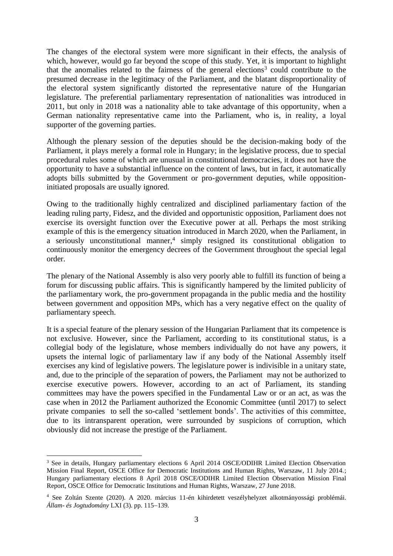The changes of the electoral system were more significant in their effects, the analysis of which, however, would go far beyond the scope of this study. Yet, it is important to highlight that the anomalies related to the fairness of the general elections<sup>3</sup> could contribute to the presumed decrease in the legitimacy of the Parliament, and the blatant disproportionality of the electoral system significantly distorted the representative nature of the Hungarian legislature. The preferential parliamentary representation of nationalities was introduced in 2011, but only in 2018 was a nationality able to take advantage of this opportunity, when a German nationality representative came into the Parliament, who is, in reality, a loyal supporter of the governing parties.

Although the plenary session of the deputies should be the decision-making body of the Parliament, it plays merely a formal role in Hungary; in the legislative process, due to special procedural rules some of which are unusual in constitutional democracies, it does not have the opportunity to have a substantial influence on the content of laws, but in fact, it automatically adopts bills submitted by the Government or pro-government deputies, while oppositioninitiated proposals are usually ignored.

Owing to the traditionally highly centralized and disciplined parliamentary faction of the leading ruling party, Fidesz, and the divided and opportunistic opposition, Parliament does not exercise its oversight function over the Executive power at all. Perhaps the most striking example of this is the emergency situation introduced in March 2020, when the Parliament, in a seriously unconstitutional manner, 4 simply resigned its constitutional obligation to continuously monitor the emergency decrees of the Government throughout the special legal order.

The plenary of the National Assembly is also very poorly able to fulfill its function of being a forum for discussing public affairs. This is significantly hampered by the limited publicity of the parliamentary work, the pro-government propaganda in the public media and the hostility between government and opposition MPs, which has a very negative effect on the quality of parliamentary speech.

It is a special feature of the plenary session of the Hungarian Parliament that its competence is not exclusive. However, since the Parliament, according to its constitutional status, is a collegial body of the legislature, whose members individually do not have any powers, it upsets the internal logic of parliamentary law if any body of the National Assembly itself exercises any kind of legislative powers. The legislature power is indivisible in a unitary state, and, due to the principle of the separation of powers, the Parliament may not be authorized to exercise executive powers. However, according to an act of Parliament, its standing committees may have the powers specified in the Fundamental Law or or an act, as was the case when in 2012 the Parliament authorized the Economic Committee (until 2017) to select private companies to sell the so-called ʻsettlement bonds'. The activities of this committee, due to its intransparent operation, were surrounded by suspicions of corruption, which obviously did not increase the prestige of the Parliament.

<sup>&</sup>lt;sup>3</sup> See in details, Hungary parliamentary elections 6 April 2014 OSCE/ODIHR Limited Election Observation Mission Final Report, OSCE Office for Democratic Institutions and Human Rights, Warszaw, 11 July 2014.; Hungary parliamentary elections 8 April 2018 OSCE/ODIHR Limited Election Observation Mission Final Report, OSCE Office for Democratic Institutions and Human Rights, Warszaw, 27 June 2018.

<sup>4</sup> See Zoltán Szente (2020). A 2020. március 11-én kihirdetett veszélyhelyzet alkotmányossági problémái. *Állam- és Jogtudomány* LXI (3). pp. 115−139.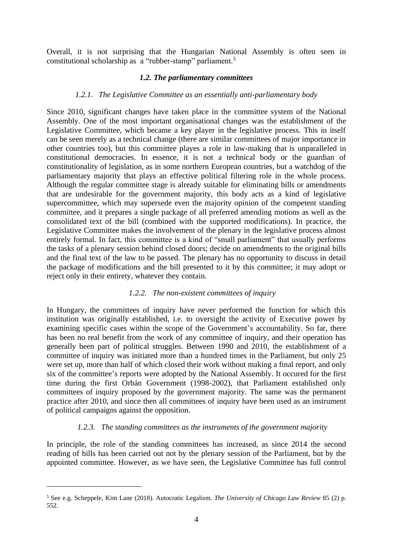Overall, it is not surprising that the Hungarian National Assembly is often seen in constitutional scholarship as a "rubber-stamp" parliament.<sup>5</sup>

#### *1.2. The parliamentary committees*

#### *1.2.1. The Legislative Committee as an essentially anti-parliamentary body*

Since 2010, significant changes have taken place in the committee system of the National Assembly. One of the most important organisational changes was the establishment of the Legislative Committee, which became a key player in the legislative process. This in itself can be seen merely as a technical change (there are similar committees of major importance in other countries too), but this committee playes a role in law-making that is unparalleled in constitutional democracies. In essence, it is not a technical body or the guardian of constitutionality of legislation, as in some northern European countries, but a watchdog of the parliamentary majority that plays an effective political filtering role in the whole process. Although the regular committee stage is already suitable for eliminating bills or amendments that are undesirable for the government majority, this body acts as a kind of legislative supercommittee, which may supersede even the majority opinion of the competent standing committee, and it prepares a single package of all preferred amending motions as well as the consolidated text of the bill (combined with the supported modifications). In practice, the Legislative Committee makes the involvement of the plenary in the legislative process almost entirely formal. In fact, this committee is a kind of "small parliament" that usually performs the tasks of a plenary session behind closed doors; decide on amendments to the original bills and the final text of the law to be passed. The plenary has no opportunity to discuss in detail the package of modifications and the bill presented to it by this committee; it may adopt or reject only in their entirety, whatever they contain.

#### *1.2.2. The non-existent committees of inquiry*

In Hungary, the committees of inquiry have never performed the function for which this institution was originally established, i.e. to oversight the activity of Executive power by examining specific cases within the scope of the Government's accountability. So far, there has been no real benefit from the work of any committee of inquiry, and their operation has generally been part of political struggles. Between 1990 and 2010, the establishment of a committee of inquiry was initiated more than a hundred times in the Parliament, but only 25 were set up, more than half of which closed their work without making a final report, and only six of the committee's reports were adopted by the National Assembly. It occured for the first time during the first Orbán Government (1998-2002), that Parliament established only committees of inquiry proposed by the government majority. The same was the permanent practice after 2010, and since then all committees of inquiry have been used as an instrument of political campaigns against the opposition.

## *1.2.3. The standing committees as the instruments of the government majority*

In principle, the role of the standing committees has increased, as since 2014 the second reading of bills has been carried out not by the plenary session of the Parliament, but by the appointed committee. However, as we have seen, the Legislative Committee has full control

<sup>5</sup> See e.g. Scheppele, Kim Lane (2018). Autocratic Legalism. *The University of Chicago Law Review* 85 (2) p. 552.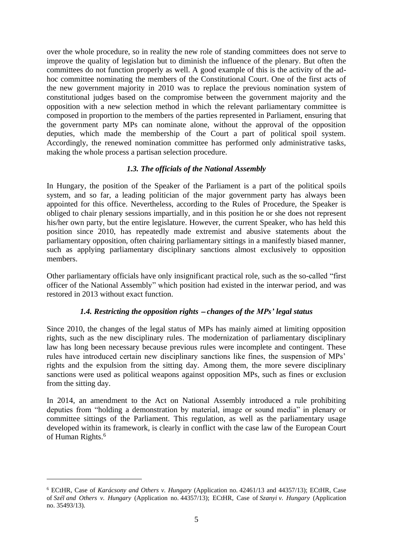over the whole procedure, so in reality the new role of standing committees does not serve to improve the quality of legislation but to diminish the influence of the plenary. But often the committees do not function properly as well. A good example of this is the activity of the adhoc committee nominating the members of the Constitutional Court. One of the first acts of the new government majority in 2010 was to replace the previous nomination system of constitutional judges based on the compromise between the government majority and the opposition with a new selection method in which the relevant parliamentary committee is composed in proportion to the members of the parties represented in Parliament, ensuring that the government party MPs can nominate alone, without the approval of the opposition deputies, which made the membership of the Court a part of political spoil system. Accordingly, the renewed nomination committee has performed only administrative tasks, making the whole process a partisan selection procedure.

# *1.3. The officials of the National Assembly*

In Hungary, the position of the Speaker of the Parliament is a part of the political spoils system, and so far, a leading politician of the major government party has always been appointed for this office. Nevertheless, according to the Rules of Procedure, the Speaker is obliged to chair plenary sessions impartially, and in this position he or she does not represent his/her own party, but the entire legislature. However, the current Speaker, who has held this position since 2010, has repeatedly made extremist and abusive statements about the parliamentary opposition, often chairing parliamentary sittings in a manifestly biased manner, such as applying parliamentary disciplinary sanctions almost exclusively to opposition members.

Other parliamentary officials have only insignificant practical role, such as the so-called "first officer of the National Assembly" which position had existed in the interwar period, and was restored in 2013 without exact function.

# *1.4. Restricting the opposition rights* <sup>−</sup> *changes of the MPs' legal status*

Since 2010, the changes of the legal status of MPs has mainly aimed at limiting opposition rights, such as the new disciplinary rules. The modernization of parliamentary disciplinary law has long been necessary because previous rules were incomplete and contingent. These rules have introduced certain new disciplinary sanctions like fines, the suspension of MPs' rights and the expulsion from the sitting day. Among them, the more severe disciplinary sanctions were used as political weapons against opposition MPs, such as fines or exclusion from the sitting day.

In 2014, an amendment to the Act on National Assembly introduced a rule prohibiting deputies from "holding a demonstration by material, image or sound media" in plenary or committee sittings of the Parliament. This regulation, as well as the parliamentary usage developed within its framework, is clearly in conflict with the case law of the European Court of Human Rights.<sup>6</sup>

<sup>6</sup> ECtHR, Case of *Karácsony and Others v. Hungary* (Application no. [42461/13](https://hudoc.echr.coe.int/eng#{%22appno%22:[%2242461/13%22]}) and 44357/13); ECtHR, Case of *Szél and Others v. Hungary* (Application no. [44357/13\)](https://hudoc.echr.coe.int/eng#{%22appno%22:[%2244357/13%22]}); ECtHR, Case of *Szanyi v. Hungary* (Application no. 35493/13).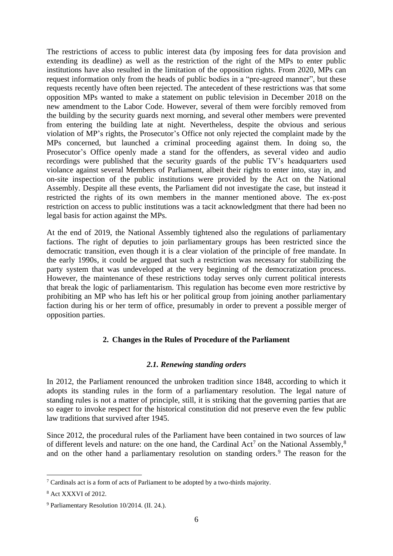The restrictions of access to public interest data (by imposing fees for data provision and extending its deadline) as well as the restriction of the right of the MPs to enter public institutions have also resulted in the limitation of the opposition rights. From 2020, MPs can request information only from the heads of public bodies in a "pre-agreed manner", but these requests recently have often been rejected. The antecedent of these restrictions was that some opposition MPs wanted to make a statement on public television in December 2018 on the new amendment to the Labor Code. However, several of them were forcibly removed from the building by the security guards next morning, and several other members were prevented from entering the building late at night. Nevertheless, despite the obvious and serious violation of MP's rights, the Prosecutor's Office not only rejected the complaint made by the MPs concerned, but launched a criminal proceeding against them. In doing so, the Prosecutor's Office openly made a stand for the offenders, as several video and audio recordings were published that the security guards of the public TV's headquarters used violance against several Members of Parliament, albeit their rights to enter into, stay in, and on-site inspection of the public institutions were provided by the Act on the National Assembly. Despite all these events, the Parliament did not investigate the case, but instead it restricted the rights of its own members in the manner mentioned above. The ex-post restriction on access to public institutions was a tacit acknowledgment that there had been no legal basis for action against the MPs.

At the end of 2019, the National Assembly tightened also the regulations of parliamentary factions. The right of deputies to join parliamentary groups has been restricted since the democratic transition, even though it is a clear violation of the principle of free mandate. In the early 1990s, it could be argued that such a restriction was necessary for stabilizing the party system that was undeveloped at the very beginning of the democratization process. However, the maintenance of these restrictions today serves only current political interests that break the logic of parliamentarism. This regulation has become even more restrictive by prohibiting an MP who has left his or her political group from joining another parliamentary faction during his or her term of office, presumably in order to prevent a possible merger of opposition parties.

# **2. Changes in the Rules of Procedure of the Parliament**

# *2.1. Renewing standing orders*

In 2012, the Parliament renounced the unbroken tradition since 1848, according to which it adopts its standing rules in the form of a parliamentary resolution. The legal nature of standing rules is not a matter of principle, still, it is striking that the governing parties that are so eager to invoke respect for the historical constitution did not preserve even the few public law traditions that survived after 1945.

Since 2012, the procedural rules of the Parliament have been contained in two sources of law of different levels and nature: on the one hand, the Cardinal Act<sup>7</sup> on the National Assembly,<sup>8</sup> and on the other hand a parliamentary resolution on standing orders.<sup>9</sup> The reason for the

 $7$  Cardinals act is a form of acts of Parliament to be adopted by a two-thirds majority.

<sup>8</sup> Act XXXVI of 2012.

<sup>9</sup> Parliamentary Resolution 10/2014. (II. 24.).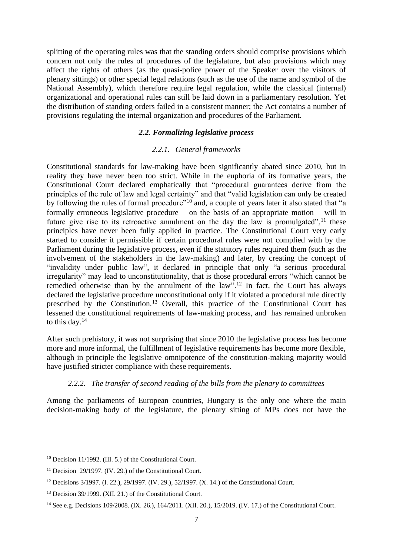splitting of the operating rules was that the standing orders should comprise provisions which concern not only the rules of procedures of the legislature, but also provisions which may affect the rights of others (as the quasi-police power of the Speaker over the visitors of plenary sittings) or other special legal relations (such as the use of the name and symbol of the National Assembly), which therefore require legal regulation, while the classical (internal) organizational and operational rules can still be laid down in a parliamentary resolution. Yet the distribution of standing orders failed in a consistent manner; the Act contains a number of provisions regulating the internal organization and procedures of the Parliament.

## *2.2. Formalizing legislative process*

## *2.2.1. General frameworks*

Constitutional standards for law-making have been significantly abated since 2010, but in reality they have never been too strict. While in the euphoria of its formative years, the Constitutional Court declared emphatically that "procedural guarantees derive from the principles of the rule of law and legal certainty" and that "valid legislation can only be created by following the rules of formal procedure"<sup>10</sup> and, a couple of years later it also stated that "a formally erroneous legislative procedure − on the basis of an appropriate motion − will in future give rise to its retroactive annulment on the day the law is promulgated",  $11$  these principles have never been fully applied in practice. The Constitutional Court very early started to consider it permissible if certain procedural rules were not complied with by the Parliament during the legislative process, even if the statutory rules required them (such as the involvement of the stakeholders in the law-making) and later, by creating the concept of "invalidity under public law", it declared in principle that only "a serious procedural irregularity" may lead to unconstitutionality, that is those procedural errors "which cannot be remedied otherwise than by the annulment of the law".<sup>12</sup> In fact, the Court has always declared the legislative procedure unconstitutional only if it violated a procedural rule directly prescribed by the Constitution.<sup>13</sup> Overall, this practice of the Constitutional Court has lessened the constitutional requirements of law-making process, and has remained unbroken to this day.<sup>14</sup>

After such prehistory, it was not surprising that since 2010 the legislative process has become more and more informal, the fulfillment of legislative requirements has become more flexible, although in principle the legislative omnipotence of the constitution-making majority would have justified stricter compliance with these requirements.

# *2.2.2. The transfer of second reading of the bills from the plenary to committees*

Among the parliaments of European countries, Hungary is the only one where the main decision-making body of the legislature, the plenary sitting of MPs does not have the

<sup>&</sup>lt;sup>10</sup> Decision 11/1992. (III. 5.) of the Constitutional Court.

<sup>&</sup>lt;sup>11</sup> Decision 29/1997. (IV. 29.) of the Constitutional Court.

<sup>&</sup>lt;sup>12</sup> Decisions 3/1997. (I. 22.), 29/1997. (IV. 29.), 52/1997. (X. 14.) of the Constitutional Court.

<sup>&</sup>lt;sup>13</sup> Decision 39/1999. (XII. 21.) of the Constitutional Court.

<sup>14</sup> See e.g. Decisions 109/2008. (IX. 26.), 164/2011. (XII. 20.), 15/2019. (IV. 17.) of the Constitutional Court.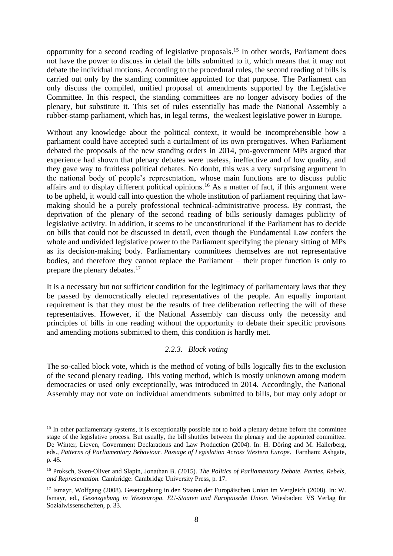opportunity for a second reading of legislative proposals. <sup>15</sup> In other words, Parliament does not have the power to discuss in detail the bills submitted to it, which means that it may not debate the individual motions. According to the procedural rules, the second reading of bills is carried out only by the standing committee appointed for that purpose. The Parliament can only discuss the compiled, unified proposal of amendments supported by the Legislative Committee. In this respect, the standing committees are no longer advisory bodies of the plenary, but substitute it. This set of rules essentially has made the National Assembly a rubber-stamp parliament, which has, in legal terms, the weakest legislative power in Europe.

Without any knowledge about the political context, it would be incomprehensible how a parliament could have accepted such a curtailment of its own prerogatives. When Parliament debated the proposals of the new standing orders in 2014, pro-government MPs argued that experience had shown that plenary debates were useless, ineffective and of low quality, and they gave way to fruitless political debates. No doubt, this was a very surprising argument in the national body of people's representation, whose main functions are to discuss public affairs and to display different political opinions.<sup>16</sup> As a matter of fact, if this argument were to be upheld, it would call into question the whole institution of parliament requiring that lawmaking should be a purely professional technical-administrative process. By contrast, the deprivation of the plenary of the second reading of bills seriously damages publicity of legislative activity. In addition, it seems to be unconstitutional if the Parliament has to decide on bills that could not be discussed in detail, even though the Fundamental Law confers the whole and undivided legislative power to the Parliament specifying the plenary sitting of MPs as its decision-making body. Parliamentary committees themselves are not representative bodies, and therefore they cannot replace the Parliament − their proper function is only to prepare the plenary debates.<sup>17</sup>

It is a necessary but not sufficient condition for the legitimacy of parliamentary laws that they be passed by democratically elected representatives of the people. An equally important requirement is that they must be the results of free deliberation reflecting the will of these representatives. However, if the National Assembly can discuss only the necessity and principles of bills in one reading without the opportunity to debate their specific provisons and amending motions submitted to them, this condition is hardly met.

## *2.2.3. Block voting*

The so-called block vote, which is the method of voting of bills logically fits to the exclusion of the second plenary reading. This voting method, which is mostly unknown among modern democracies or used only exceptionally, was introduced in 2014. Accordingly, the National Assembly may not vote on individual amendments submitted to bills, but may only adopt or

<sup>&</sup>lt;sup>15</sup> In other parliamentary systems, it is exceptionally possible not to hold a plenary debate before the committee stage of the legislative process. But usually, the bill shuttles between the plenary and the appointed committee. De Winter, Lieven, Government Declarations and Law Production (2004). In: H. Döring and M. Hallerberg, eds., Patterns of Parliamentary Behaviour. Passage of Legislation Across Western Europe. Farnham: Ashgate, p. 45.

<sup>16</sup> Proksch, Sven-Oliver and Slapin, Jonathan B. (2015). *The Politics of Parliamentary Debate. Parties, Rebels, and Representation.* Cambridge: Cambridge University Press, p. 17.

<sup>17</sup> Ismayr, Wolfgang (2008). Gesetzgebung in den Staaten der Europäischen Union im Vergleich (2008). In: W. Ismayr, ed., *Gesetzgebung in Westeuropa. EU-Staaten und Europäische Union*. Wiesbaden: VS Verlag für Sozialwissenscheften, p. 33.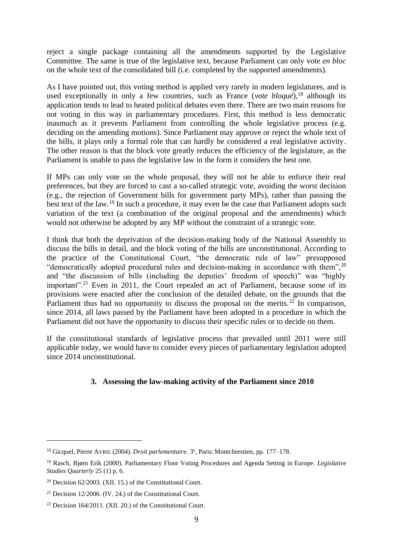reject a single package containing all the amendments supported by the Legislative Committee. The same is true of the legislative text, because Parliament can only vote *en bloc* on the whole text of the consolidated bill (i.e. completed by the supported amendments).

As I have pointed out, this voting method is applied very rarely in modern legislatures, and is used exceptionally in only a few countries, such as France (*vote bloqué*),<sup>18</sup> although its application tends to lead to heated political debates even there. There are two main reasons for not voting in this way in parliamentary procedures. First, this method is less democratic inasmuch as it prevents Parliament from controlling the whole legislative process (e.g. deciding on the amending motions). Since Parliament may approve or reject the whole text of the bills, it plays only a formal role that can hardly be considered a real legislative activity. The other reason is that the block vote greatly reduces the efficiency of the legislature, as the Parliament is unable to pass the legislative law in the form it considers the best one.

If MPs can only vote on the whole proposal, they will not be able to enforce their real preferences, but they are forced to cast a so-called strategic vote, avoiding the worst decision (e.g., the rejection of Government bills for government party MPs), rather than passing the best text of the law.<sup>19</sup> In such a procedure, it may even be the case that Parliament adopts such variation of the text (a combination of the original proposal and the amendments) which would not otherwise be adopted by any MP without the constraint of a strategic vote.

I think that both the deprivation of the decision-making body of the National Assembly to discuss the bills in detail, and the block voting of the bills are unconstitutional. According to the practice of the Constitutional Court, "the democratic rule of law" presupposed "democratically adopted procedural rules and decision-making in accordance with them",  $20$ and "the discussion of bills (including the deputies' freedom of speech)" was "highly important".<sup>21</sup> Even in 2011, the Court repealed an act of Parliament, because some of its provisions were enacted after the conclusion of the detailed debate, on the grounds that the Parliament thus had no opportunity to discuss the proposal on the merits.<sup>22</sup> In comparison, since 2014, all laws passed by the Parliament have been adopted in a procedure in which the Parliament did not have the opportunity to discuss their specific rules or to decide on them.

If the constitutional standards of legislative process that prevailed until 2011 were still applicable today, we would have to consider every pieces of parliamentary legislation adopted since 2014 unconstitutional.

# **3. Assessing the law-making activity of the Parliament since 2010**

<sup>&</sup>lt;sup>18</sup> Gicquel, Pierre AVRIL (2004). *Droit parlementaire*. <sup>3</sup><sup>e</sup>, Paris: Montchrestien, pp. 177–178.

<sup>19</sup> Rasch, Bjørn Erik (2000). Parliamentary Floor Voting Procedures and Agenda Setting in Europe. *Legislative Studies Quarterly* 25 (1) p. 6.

<sup>&</sup>lt;sup>20</sup> Decision 62/2003. (XII. 15.) of the Constitutional Court.

 $21$  Decision 12/2006. (IV. 24.) of the Constitutional Court.

<sup>22</sup> Decision 164/2011. (XII. 20.) of the Constitutional Court.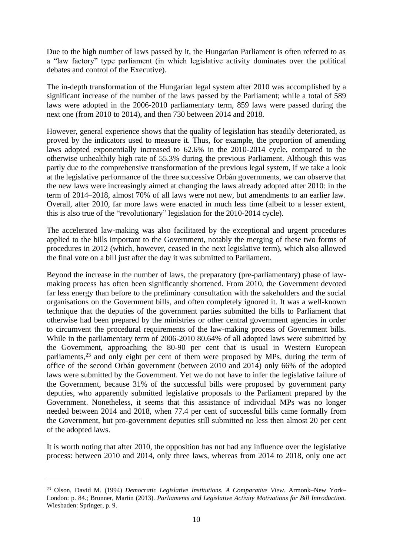Due to the high number of laws passed by it, the Hungarian Parliament is often referred to as a "law factory" type parliament (in which legislative activity dominates over the political debates and control of the Executive).

The in-depth transformation of the Hungarian legal system after 2010 was accomplished by a significant increase of the number of the laws passed by the Parliament; while a total of 589 laws were adopted in the 2006-2010 parliamentary term, 859 laws were passed during the next one (from 2010 to 2014), and then 730 between 2014 and 2018.

However, general experience shows that the quality of legislation has steadily deteriorated, as proved by the indicators used to measure it. Thus, for example, the proportion of amending laws adopted exponentially increased to 62.6% in the 2010-2014 cycle, compared to the otherwise unhealthily high rate of 55.3% during the previous Parliament. Although this was partly due to the comprehensive transformation of the previous legal system, if we take a look at the legislative performance of the three successive Orbán governments, we can observe that the new laws were increasingly aimed at changing the laws already adopted after 2010: in the term of 2014–2018, almost 70% of all laws were not new, but amendments to an earlier law. Overall, after 2010, far more laws were enacted in much less time (albeit to a lesser extent, this is also true of the "revolutionary" legislation for the 2010-2014 cycle).

The accelerated law-making was also facilitated by the exceptional and urgent procedures applied to the bills important to the Government, notably the merging of these two forms of procedures in 2012 (which, however, ceased in the next legislative term), which also allowed the final vote on a bill just after the day it was submitted to Parliament.

Beyond the increase in the number of laws, the preparatory (pre-parliamentary) phase of lawmaking process has often been significantly shortened. From 2010, the Government devoted far less energy than before to the preliminary consultation with the sakeholders and the social organisations on the Government bills, and often completely ignored it. It was a well-known technique that the deputies of the government parties submitted the bills to Parliament that otherwise had been prepared by the ministries or other central government agencies in order to circumvent the procedural requirements of the law-making process of Government bills. While in the parliamentary term of 2006-2010 80.64% of all adopted laws were submitted by the Government, approaching the 80-90 per cent that is usual in Western European parliaments,<sup>23</sup> and only eight per cent of them were proposed by MPs, during the term of office of the second Orbán government (between 2010 and 2014) only 66% of the adopted laws were submitted by the Government. Yet we do not have to infer the legislative failure of the Government, because 31% of the successful bills were proposed by government party deputies, who apparently submitted legislative proposals to the Parliament prepared by the Government. Nonetheless, it seems that this assistance of individual MPs was no longer needed between 2014 and 2018, when 77.4 per cent of successful bills came formally from the Government, but pro-government deputies still submitted no less then almost 20 per cent of the adopted laws.

It is worth noting that after 2010, the opposition has not had any influence over the legislative process: between 2010 and 2014, only three laws, whereas from 2014 to 2018, only one act

<sup>23</sup> Olson, David M. (1994) *Democratic Legislative Institutions. A Comparative View*. Armonk–New York– London: p. 84.; Brunner, Martin (2013). *Parliaments and Legislative Activity Motivations for Bill Introduction.* Wiesbaden: Springer, p. 9.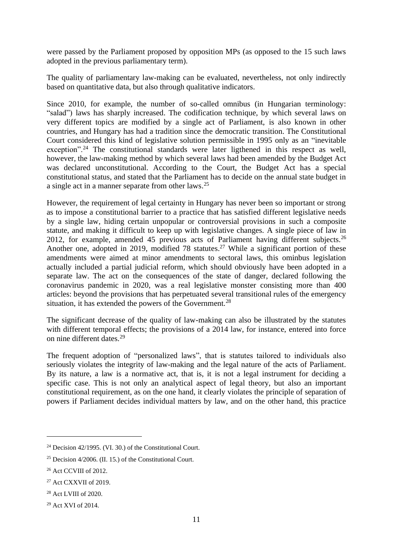were passed by the Parliament proposed by opposition MPs (as opposed to the 15 such laws adopted in the previous parliamentary term).

The quality of parliamentary law-making can be evaluated, nevertheless, not only indirectly based on quantitative data, but also through qualitative indicators.

Since 2010, for example, the number of so-called omnibus (in Hungarian terminology: "salad") laws has sharply increased. The codification technique, by which several laws on very different topics are modified by a single act of Parliament, is also known in other countries, and Hungary has had a tradition since the democratic transition. The Constitutional Court considered this kind of legislative solution permissible in 1995 only as an "inevitable exception".<sup>24</sup> The constitutional standards were later ligthened in this respect as well, however, the law-making method by which several laws had been amended by the Budget Act was declared unconstitutional. According to the Court, the Budget Act has a special constitutional status, and stated that the Parliament has to decide on the annual state budget in a single act in a manner separate from other laws.<sup>25</sup>

However, the requirement of legal certainty in Hungary has never been so important or strong as to impose a constitutional barrier to a practice that has satisfied different legislative needs by a single law, hiding certain unpopular or controversial provisions in such a composite statute, and making it difficult to keep up with legislative changes. A single piece of law in 2012, for example, amended 45 previous acts of Parliament having different subjects.<sup>26</sup> Another one, adopted in 2019, modified 78 statutes.<sup>27</sup> While a significant portion of these amendments were aimed at minor amendments to sectoral laws, this ominbus legislation actually included a partial judicial reform, which should obviously have been adopted in a separate law. The act on the consequences of the state of danger, declared following the coronavirus pandemic in 2020, was a real legislative monster consisting more than 400 articles: beyond the provisions that has perpetuated several transitional rules of the emergency situation, it has extended the powers of the Government.<sup>28</sup>

The significant decrease of the quality of law-making can also be illustrated by the statutes with different temporal effects; the provisions of a 2014 law, for instance, entered into force on nine different dates.<sup>29</sup>

The frequent adoption of "personalized laws", that is statutes tailored to individuals also seriously violates the integrity of law-making and the legal nature of the acts of Parliament. By its nature, a law is a normative act, that is, it is not a legal instrument for deciding a specific case. This is not only an analytical aspect of legal theory, but also an important constitutional requirement, as on the one hand, it clearly violates the principle of separation of powers if Parliament decides individual matters by law, and on the other hand, this practice

<sup>24</sup> Decision 42/1995. (VI. 30.) of the Constitutional Court.

<sup>&</sup>lt;sup>25</sup> Decision  $4/2006$ . (II. 15.) of the Constitutional Court.

<sup>26</sup> Act CCVIII of 2012.

<sup>27</sup> Act CXXVII of 2019.

<sup>28</sup> Act LVIII of 2020.

<sup>29</sup> Act XVI of 2014.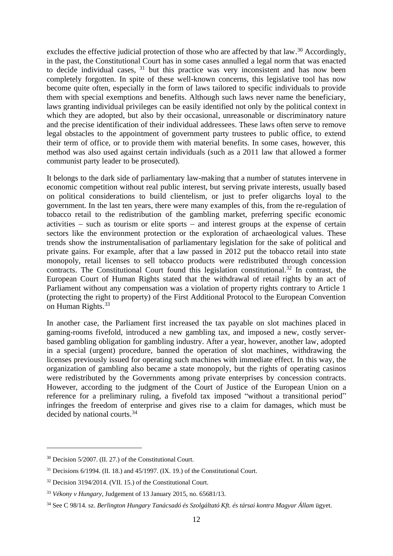excludes the effective judicial protection of those who are affected by that law.<sup>30</sup> Accordingly, in the past, the Constitutional Court has in some cases annulled a legal norm that was enacted to decide individual cases,  $31$  but this practice was very inconsistent and has now been completely forgotten. In spite of these well-known concerns, this legislative tool has now become quite often, especially in the form of laws tailored to specific individuals to provide them with special exemptions and benefits. Although such laws never name the beneficiary, laws granting individual privileges can be easily identified not only by the political context in which they are adopted, but also by their occasional, unreasonable or discriminatory nature and the precise identification of their individual addressees. These laws often serve to remove legal obstacles to the appointment of government party trustees to public office, to extend their term of office, or to provide them with material benefits. In some cases, however, this method was also used against certain individuals (such as a 2011 law that allowed a former communist party leader to be prosecuted).

It belongs to the dark side of parliamentary law-making that a number of statutes intervene in economic competition without real public interest, but serving private interests, usually based on political considerations to build clientelism, or just to prefer oligarchs loyal to the government. In the last ten years, there were many examples of this, from the re-regulation of tobacco retail to the redistribution of the gambling market, preferring specific economic activities − such as tourism or elite sports − and interest groups at the expense of certain sectors like the environment protection or the exploration of archaeological values. These trends show the instrumentalisation of parliamentary legislation for the sake of political and private gains. For example, after that a law passed in 2012 put the tobacco retail into state monopoly, retail licenses to sell tobacco products were redistributed through concession contracts. The Constitutional Court found this legislation constitutional.<sup>32</sup> In contrast, the European Court of Human Rights stated that the withdrawal of retail rights by an act of Parliament without any compensation was a violation of property rights contrary to Article 1 (protecting the right to property) of the First Additional Protocol to the European Convention on Human Rights.<sup>33</sup>

In another case, the Parliament first increased the tax payable on slot machines placed in gaming-rooms fivefold, introduced a new gambling tax, and imposed a new, costly serverbased gambling obligation for gambling industry. After a year, however, another law, adopted in a special (urgent) procedure, banned the operation of slot machines, withdrawing the licenses previously issued for operating such machines with immediate effect. In this way, the organization of gambling also became a state monopoly, but the rights of operating casinos were redistributed by the Governments among private enterprises by concession contracts. However, according to the judgment of the Court of Justice of the European Union on a reference for a preliminary ruling, a fivefold tax imposed "without a transitional period" infringes the freedom of enterprise and gives rise to a claim for damages, which must be decided by national courts.<sup>34</sup>

<sup>30</sup> Decision 5/2007. (II. 27.) of the Constitutional Court.

 $31$  Decisions 6/1994. (II. 18.) and 45/1997. (IX. 19.) of the Constitutional Court.

<sup>&</sup>lt;sup>32</sup> Decision 3194/2014. (VII. 15.) of the Constitutional Court.

<sup>33</sup> *Vékony v Hungary*, Judgement of 13 January 2015, no. [65681/13.](http://hudoc.echr.coe.int/eng#%7B%22appno%22:[%2265681/13%22]%7D)

<sup>34</sup> See C 98/14. sz. *Berlington Hungary Tanácsadó és Szolgáltató Kft. és társai kontra Magyar Állam* ügyet.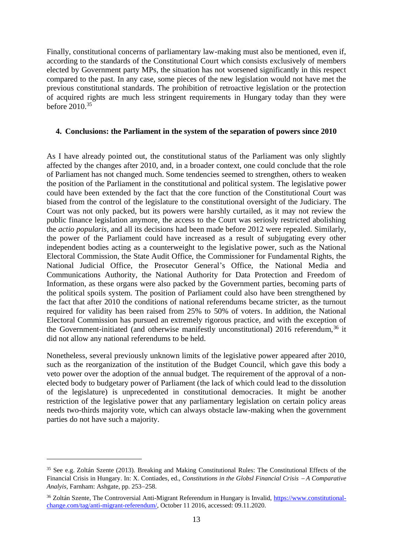Finally, constitutional concerns of parliamentary law-making must also be mentioned, even if, according to the standards of the Constitutional Court which consists exclusively of members elected by Government party MPs, the situation has not worsened significantly in this respect compared to the past. In any case, some pieces of the new legislation would not have met the previous constitutional standards. The prohibition of retroactive legislation or the protection of acquired rights are much less stringent requirements in Hungary today than they were before 2010.<sup>35</sup>

## **4. Conclusions: the Parliament in the system of the separation of powers since 2010**

As I have already pointed out, the constitutional status of the Parliament was only slightly affected by the changes after 2010, and, in a broader context, one could conclude that the role of Parliament has not changed much. Some tendencies seemed to strengthen, others to weaken the position of the Parliament in the constitutional and political system. The legislative power could have been extended by the fact that the core function of the Constitutional Court was biased from the control of the legislature to the constitutional oversight of the Judiciary. The Court was not only packed, but its powers were harshly curtailed, as it may not review the public finance legislation anymore, the access to the Court was seriosly restricted abolishing the *actio popularis*, and all its decisions had been made before 2012 were repealed. Similarly, the power of the Parliament could have increased as a result of subjugating every other independent bodies acting as a counterweight to the legislative power, such as the National Electoral Commission, the State Audit Office, the Commissioner for Fundamental Rights, the National Judicial Office, the Prosecutor General's Office, the National Media and Communications Authority, the National Authority for Data Protection and Freedom of Information, as these organs were also packed by the Government parties, becoming parts of the political spoils system. The position of Parliament could also have been strengthened by the fact that after 2010 the conditions of national referendums became stricter, as the turnout required for validity has been raised from 25% to 50% of voters. In addition, the National Electoral Commission has pursued an extremely rigorous practice, and with the exception of the Government-initiated (and otherwise manifestly unconstitutional) 2016 referendum.<sup>36</sup> it did not allow any national referendums to be held.

Nonetheless, several previously unknown limits of the legislative power appeared after 2010, such as the reorganization of the institution of the Budget Council, which gave this body a veto power over the adoption of the annual budget. The requirement of the approval of a nonelected body to budgetary power of Parliament (the lack of which could lead to the dissolution of the legislature) is unprecedented in constitutional democracies. It might be another restriction of the legislative power that any parliamentary legislation on certain policy areas needs two-thirds majority vote, which can always obstacle law-making when the government parties do not have such a majority.

<sup>35</sup> See e.g. Zoltán Szente (2013). Breaking and Making Constitutional Rules: The Constitutional Effects of the Financial Crisis in Hungary. In: X. Contiades, ed., *Constitutions in the Globsl Financial Crisis* <sup>−</sup> *A Comparative Analyis,* Farnham: Ashgate, pp. 253−258.

<sup>36</sup> Zoltán Szente, The Controversial Anti-Migrant Referendum in Hungary is Invalid, [https://www.constitutional](https://www.constitutional-change.com/tag/anti-migrant-referendum/)[change.com/tag/anti-migrant-referendum/,](https://www.constitutional-change.com/tag/anti-migrant-referendum/) October 11 2016, accessed: 09.11.2020.